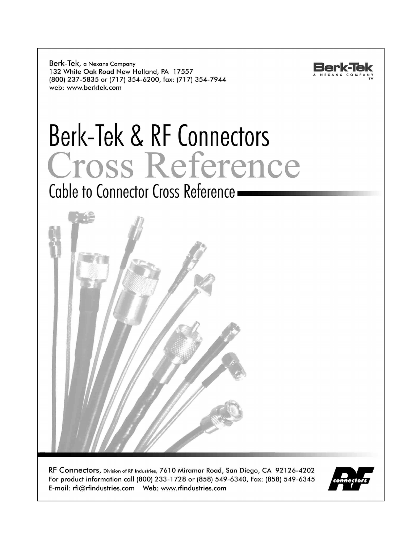Berk-Tek, a Nexans Company 132 White Oak Road New Holland, PA 17557 (800) 237-5835 or (717) 354-6200, fax: (717) 354-7944 web: www.berktek.com



# Berk-Tek & RF Connectors Cross Reference

Cable to Connector Cross Reference -



RF Connectors, Division of RF Industries, 7610 Miramar Road, San Diego, CA 92126-4202 For product information call (800) 233-1728 or (858) 549-6340, Fax: (858) 549-6345 

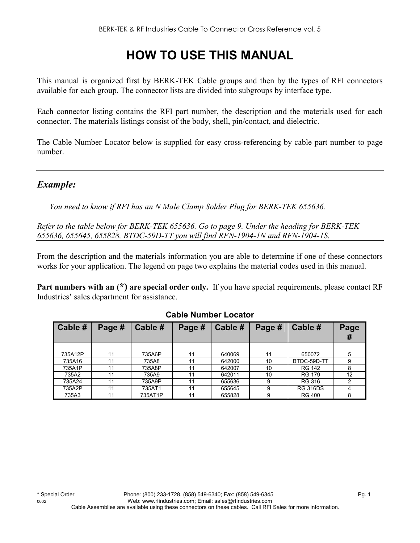# **HOW TO USE THIS MANUAL**

This manual is organized first by BERK-TEK Cable groups and then by the types of RFI connectors available for each group. The connector lists are divided into subgroups by interface type.

Each connector listing contains the RFI part number, the description and the materials used for each connector. The materials listings consist of the body, shell, pin/contact, and dielectric.

The Cable Number Locator below is supplied for easy cross-referencing by cable part number to page number.

## *Example:*

*You need to know if RFI has an N Male Clamp Solder Plug for BERK-TEK 655636.* 

*Refer to the table below for BERK-TEK 655636. Go to page 9. Under the heading for BERK-TEK 655636, 655645, 655828, BTDC-59D-TT you will find RFN-1904-1N and RFN-1904-1S.* 

From the description and the materials information you are able to determine if one of these connectors works for your application. The legend on page two explains the material codes used in this manual.

**Part numbers with an (\*) are special order only.** If you have special requirements, please contact RF Industries' sales department for assistance.

| Cable # | Page # | Cable # | Page # | Cable # | Page # | Cable #         | Page<br>$\boldsymbol{\pi}$ |
|---------|--------|---------|--------|---------|--------|-----------------|----------------------------|
|         |        |         |        |         |        |                 |                            |
| 735A12P | 11     | 735A6P  | 11     | 640069  | 11     | 650072          |                            |
| 735A16  | 11     | 735A8   | 11     | 642000  | 10     | BTDC-59D-TT     |                            |
| 735A1P  | 11     | 735A8P  | 11     | 642007  | 10     | <b>RG 142</b>   |                            |
| 735A2   | 11     | 735A9   | 11     | 642011  | 10     | <b>RG 179</b>   | 12                         |
| 735A24  | 11     | 735A9P  | 11     | 655636  | 9      | RG 316          |                            |
| 735A2P  | 11     | 735AT1  |        | 655645  | 9      | <b>RG 316DS</b> |                            |
| 735A3   | 11     | 735AT1P | 11     | 655828  | 9      | <b>RG 400</b>   |                            |

#### **Cable Number Locator**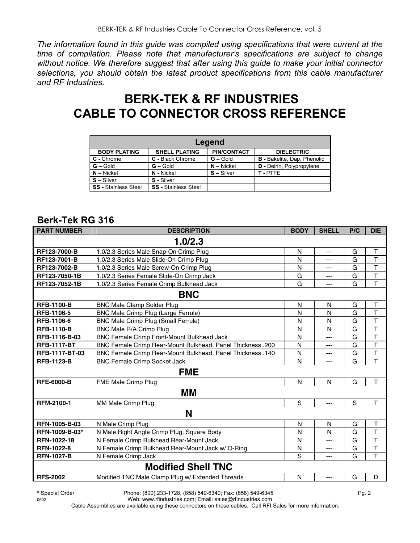*The information found in this guide was compiled using specifications that were current at the time of compilation. Please note that manufacturer's specifications are subject to change without notice. We therefore suggest that after using this guide to make your initial connector selections, you should obtain the latest product specifications from this cable manufacturer and RF Industries.*

## **BERK-TEK & RF INDUSTRIES CABLE TO CONNECTOR CROSS REFERENCE**

| Legend                      |                             |                    |                                    |  |  |  |  |  |
|-----------------------------|-----------------------------|--------------------|------------------------------------|--|--|--|--|--|
| <b>BODY PLATING</b>         | <b>SHELL PLATING</b>        | <b>PIN/CONTACT</b> | <b>DIELECTRIC</b>                  |  |  |  |  |  |
| C - Chrome                  | C - Black Chrome            | $G - Gold$         | <b>B</b> - Bakelite, Dap, Phenolic |  |  |  |  |  |
| $G - Gold$                  | $G - Gold$                  | $N - Nickel$       | D - Delrin, Polypropylene          |  |  |  |  |  |
| $N -$ Nickel                | N - Nickel                  | $S -$ Silver       | T-PTFE                             |  |  |  |  |  |
| $S - S$ ilver               | S - Silver                  |                    |                                    |  |  |  |  |  |
| <b>SS</b> - Stainless Steel | <b>SS</b> - Stainless Steel |                    |                                    |  |  |  |  |  |

## **Berk-Tek RG 316**

| <b>PART NUMBER</b>    | <b>DESCRIPTION</b>                                                | <b>BODY</b> | <b>SHELL</b>   | P/C | <b>DIE</b>              |
|-----------------------|-------------------------------------------------------------------|-------------|----------------|-----|-------------------------|
|                       | 1.0/2.3                                                           |             |                |     |                         |
| RF123-7000-B          | 1.0/2.3 Series Male Snap-On Crimp Plug                            | N           | ---            | G   | Τ                       |
| RF123-7001-B          | 1.0/2.3 Series Male Slide-On Crimp Plug                           | N           | $\overline{a}$ | G   | $\top$                  |
| RF123-7002-B          | 1.0/2.3 Series Male Screw-On Crimp Plug                           | N           | ---            | G   | $\overline{\mathsf{T}}$ |
| RF123-7050-1B         | 1.0/2.3 Series Female Slide-On Crimp Jack                         | G           | ---            | G   | $\mathsf{T}$            |
| RF123-7052-1B         | 1.0/2.3 Series Female Crimp Bulkhead Jack                         | G           | ---            | G   | $\overline{1}$          |
|                       | <b>BNC</b>                                                        |             |                |     |                         |
| <b>RFB-1100-B</b>     | <b>BNC Male Clamp Solder Plug</b>                                 | N           | N              | G   | Τ                       |
| RFB-1106-5            | <b>BNC Male Crimp Plug (Large Ferrule)</b>                        | N           | N              | G   | $\overline{\mathsf{T}}$ |
| RFB-1106-6            | BNC Male Crimp Plug (Small Ferrule)                               | N           | N              | G   | $\top$                  |
| <b>RFB-1110-B</b>     | BNC Male R/A Crimp Plug                                           | N           | N              | G   | $\overline{\mathsf{T}}$ |
| RFB-1116-B-03         | BNC Female Crimp Front-Mount Bulkhead Jack                        | N           | ---            | G   | $\overline{\mathsf{T}}$ |
| <b>RFB-1117-BT</b>    | <b>BNC Female Crimp Rear-Mount Bulkhead, Panel Thickness .200</b> | N           | ---            | G   | $\overline{\mathsf{T}}$ |
| <b>RFB-1117-BT-03</b> | BNC Female Crimp Rear-Mount Bulkhead, Panel Thickness .140        | N           | ---            | G   | $\mathsf T$             |
| <b>RFB-1123-B</b>     | <b>BNC Female Crimp Socket Jack</b>                               | N           | ---            | G   | T                       |
|                       | <b>FME</b>                                                        |             |                |     |                         |
| <b>RFE-6000-B</b>     | FME Male Crimp Plug                                               | N           | N              | G   | T                       |
|                       | ΜM                                                                |             |                |     |                         |
| RFM-2100-1            | MM Male Crimp Plug                                                | S           | $\overline{a}$ | S   | T                       |
|                       | N                                                                 |             |                |     |                         |
| RFN-1005-B-03         | N Male Crimp Plug                                                 | N           | N              | G   | $\mathsf T$             |
| RFN-1009-B-03*        | N Male Right Angle Crimp Plug, Square Body                        | N           | N              | G   | $\mathsf{T}$            |
| RFN-1022-18           | N Female Crimp Bulkhead Rear-Mount Jack                           | N           | ---            | G   | $\overline{\mathsf{T}}$ |
| <b>RFN-1022-8</b>     | N Female Crimp Bulkhead Rear-Mount Jack w/ O-Ring                 | N           | ---            | G   | $\overline{\mathsf{T}}$ |
| <b>RFN-1027-B</b>     | N Female Crimp Jack                                               | S           | ---            | G   | T                       |
|                       | <b>Modified Shell TNC</b>                                         |             |                |     |                         |
| <b>RFS-2002</b>       | Modified TNC Male Clamp Plug w/ Extended Threads                  | N           | ---            | G   | D                       |

**\*** Special Order Phone: (800) 233-1728, (858) 549-6340; Fax: (858) 549-6345 Pg. 2

0602 Web: www.rfindustries.com; Email: sales@rfindustries.com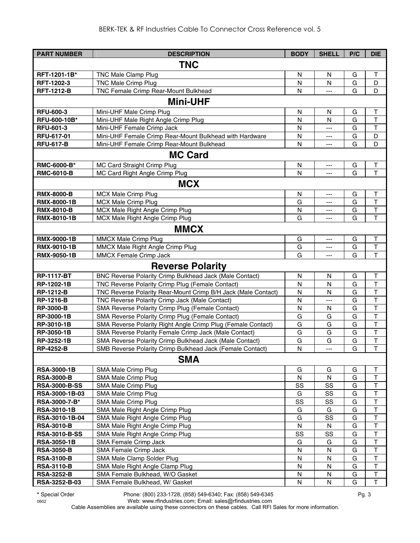| <b>PART NUMBER</b>                 | <b>DESCRIPTION</b>                                            | <b>BODY</b>    | <b>SHELL</b>      | P/C    | <b>DIE</b>                        |
|------------------------------------|---------------------------------------------------------------|----------------|-------------------|--------|-----------------------------------|
|                                    | <b>TNC</b>                                                    |                |                   |        |                                   |
| RFT-1201-1B*                       | <b>TNC Male Clamp Plug</b>                                    | N              | N                 | G      | Τ                                 |
| RFT-1202-3                         | <b>TNC Male Crimp Plug</b>                                    | N              | $\mathsf{N}$      | G      | D                                 |
| <b>RFT-1212-B</b>                  | TNC Female Crimp Rear-Mount Bulkhead                          | N              | ---               | G      | D                                 |
|                                    |                                                               |                |                   |        |                                   |
|                                    | <b>Mini-UHF</b>                                               |                |                   |        |                                   |
| <b>RFU-600-3</b>                   | Mini-UHF Male Crimp Plug                                      | N              | N                 | G      | Τ                                 |
| RFU-600-10B*                       | Mini-UHF Male Right Angle Crimp Plug                          | N              | $\mathsf{N}$      | G      | $\top$                            |
| RFU-601-3                          | Mini-UHF Female Crimp Jack                                    | N              | ---               | G      | $\top$                            |
| RFU-617-01                         | Mini-UHF Female Crimp Rear-Mount Bulkhead with Hardware       | N              | ---               | G      | D                                 |
| <b>RFU-617-B</b>                   | Mini-UHF Female Crimp Rear-Mount Bulkhead                     | N              | $---$             | G      | D                                 |
|                                    | <b>MC Card</b>                                                |                |                   |        |                                   |
| RMC-6000-B*                        | MC Card Straight Crimp Plug                                   | N              | ---               | G      | $\mathsf T$                       |
| <b>RMC-6010-B</b>                  | MC Card Right Angle Crimp Plug                                | N              | ---               | G      | T                                 |
|                                    | <b>MCX</b>                                                    |                |                   |        |                                   |
| <b>RMX-8000-B</b>                  | <b>MCX Male Crimp Plug</b>                                    | N              | ---               | G      | T                                 |
| <b>RMX-8000-1B</b>                 | MCX Male Crimp Plug                                           | G              | ---               | G      | $\top$                            |
| <b>RMX-8010-B</b>                  | MCX Male Right Angle Crimp Plug                               | N              | ---               | G      | $\top$                            |
| RMX-8010-1B                        | MCX Male Right Angle Crimp Plug                               | G              | $---$             | G      | T                                 |
|                                    | <b>MMCX</b>                                                   |                |                   |        |                                   |
| RMX-9000-1B                        | MMCX Male Crimp Plug                                          | G              | ---               | G      | $\top$                            |
| <b>RMX-9010-1B</b>                 | MMCX Male Right Angle Crimp Plug                              | G              | ---               | G      | $\mathsf T$                       |
| <b>RMX-9050-1B</b>                 | <b>MMCX Female Crimp Jack</b>                                 | G              | ---               | G      | T                                 |
|                                    | <b>Reverse Polarity</b>                                       |                |                   |        |                                   |
| <b>RP-1117-BT</b>                  | BNC Reverse Polarity Crimp Bulkhead Jack (Male Contact)       | N              | N                 | G      | T                                 |
| RP-1202-1B                         | TNC Reverse Polarity Crimp Plug (Female Contact)              | N              | N                 | G      | $\mathsf T$                       |
| <b>RP-1212-B</b>                   | TNC Reverse Polarity Rear-Mount Crimp B/H Jack (Male Contact) | N              | N                 | G      | $\overline{\mathsf{T}}$           |
| <b>RP-1216-B</b>                   | TNC Reverse Polarity Crimp Jack (Male Contact)                | N              | $\overline{a}$    | G      | $\overline{\mathsf{T}}$           |
| <b>RP-3000-B</b>                   | SMA Reverse Polarity Crimp Plug (Female Contact)              | N              | N                 | G      | $\top$                            |
| RP-3000-1B                         | SMA Reverse Polarity Crimp Plug (Female Contact)              | G              | G                 | G      | $\overline{\mathsf{T}}$           |
| RP-3010-1B                         | SMA Reverse Polarity Right Angle Crimp Plug (Female Contact)  | G              | G                 | G      | $\top$                            |
| RP-3050-1B                         | SMA Reverse Polarity Female Crimp Jack (Male Contact)         | G              | G                 | G      | $\top$                            |
| RP-3252-1B                         | SMA Reverse Polarity Crimp Bulkhead Jack (Male Contact)       | G              | G                 | G      | $\mathsf{T}$                      |
| <b>RP-4252-B</b>                   | SMB Reverse Polarity Crimp Bulkhead Jack (Female Contact)     | N              | ---               | G      | $\overline{1}$                    |
|                                    | <b>SMA</b>                                                    |                |                   |        |                                   |
| <b>RSA-3000-1B</b>                 | SMA Male Crimp Plug                                           | G              | G                 | G      | Τ                                 |
| <b>RSA-3000-B</b>                  | SMA Male Crimp Plug                                           | N              | N                 | G      | Т                                 |
| <b>RSA-3000-B-SS</b>               | SMA Male Crimp Plug                                           | SS             | SS                | G      | T                                 |
| RSA-3000-1B-03                     | SMA Male Crimp Plug                                           | G              | SS                | G      | Т                                 |
| RSA-3000-7-B*                      | SMA Male Crimp Plug                                           | SS             | SS                | G      | T                                 |
| <b>RSA-3010-1B</b>                 | SMA Male Right Angle Crimp Plug                               | G              | G                 | G      | T                                 |
| RSA-3010-1B-04                     | SMA Male Right Angle Crimp Plug                               | G              | SS                | G      | T                                 |
| <b>RSA-3010-B</b>                  | SMA Male Right Angle Crimp Plug                               | ${\sf N}$      | N                 | G      | $\mathsf T$                       |
| <b>RSA-3010-B-SS</b>               | SMA Male Right Angle Crimp Plug                               | SS             | SS                | G      | $\overline{\mathsf{T}}$           |
| <b>RSA-3050-1B</b>                 | SMA Female Crimp Jack                                         | G              | G                 | G      | $\mathsf T$                       |
| <b>RSA-3050-B</b>                  | SMA Female Crimp Jack                                         | N              | N                 | G      | $\top$                            |
| <b>RSA-3100-B</b>                  | SMA Male Clamp Solder Plug                                    | N              | N                 | G      | $\overline{\mathsf{T}}$           |
| <b>RSA-3110-B</b>                  | SMA Male Right Angle Clamp Plug                               | N              | N                 | G      | $\top$                            |
| <b>RSA-3252-B</b><br>RSA-3252-B-03 | SMA Female Bulkhead, W/O Gasket                               | N<br>${\sf N}$ | N<br>$\mathsf{N}$ | G<br>G | $\top$<br>$\overline{\mathsf{T}}$ |
|                                    | SMA Female Bulkhead, W/ Gasket                                |                |                   |        |                                   |

**\*** Special Order Phone: (800) 233-1728, (858) 549-6340; Fax: (858) 549-6345 Pg. 3

0602 Web: www.rfindustries.com; Email: sales@rfindustries.com Cable Assemblies are available using these connectors on these cables. Call RFI Sales for more information.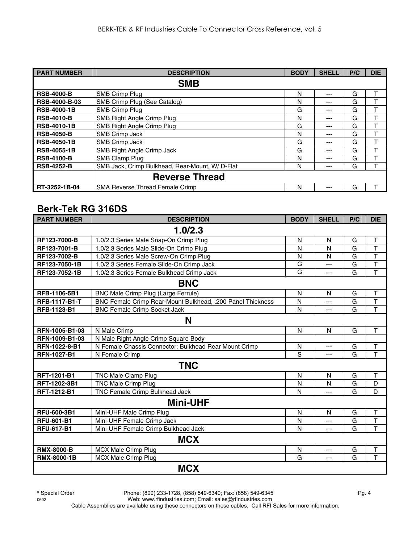| <b>PART NUMBER</b>   | <b>DESCRIPTION</b>                             | <b>BODY</b> | <b>SHELL</b> | P/C | <b>DIE</b> |
|----------------------|------------------------------------------------|-------------|--------------|-----|------------|
|                      | <b>SMB</b>                                     |             |              |     |            |
| <b>RSB-4000-B</b>    | SMB Crimp Plug                                 | N           | ---          | G   |            |
| <b>RSB-4000-B-03</b> | SMB Crimp Plug (See Catalog)                   | N           | ---          | G   |            |
| <b>RSB-4000-1B</b>   | <b>SMB Crimp Plug</b>                          | G           | ---          | G   |            |
| <b>RSB-4010-B</b>    | SMB Right Angle Crimp Plug                     | N           | ---          | G   |            |
| <b>RSB-4010-1B</b>   | SMB Right Angle Crimp Plug                     | G           | ---          | G   |            |
| <b>RSB-4050-B</b>    | SMB Crimp Jack                                 | N           | ---          | G   |            |
| <b>RSB-4050-1B</b>   | SMB Crimp Jack                                 | G           | ---          | G   | ᠇          |
| <b>RSB-4055-1B</b>   | SMB Right Angle Crimp Jack                     | G           | ---          | G   |            |
| <b>RSB-4100-B</b>    | SMB Clamp Plug                                 | N           | ---          | G   |            |
| <b>RSB-4252-B</b>    | SMB Jack, Crimp Bulkhead, Rear-Mount, W/D-Flat | N           | ---          | G   |            |
|                      | <b>Reverse Thread</b>                          |             |              |     |            |
| RT-3252-1B-04        | <b>SMA Reverse Thread Female Crimp</b>         | N           | ---          | G   |            |

## **Berk-Tek RG 316DS**

| <b>PART NUMBER</b>   | <b>DESCRIPTION</b>                                         | <b>BODY</b>  | <b>SHELL</b> | P/C | <b>DIE</b>              |
|----------------------|------------------------------------------------------------|--------------|--------------|-----|-------------------------|
|                      | 1.0/2.3                                                    |              |              |     |                         |
| RF123-7000-B         | 1.0/2.3 Series Male Snap-On Crimp Plug                     | $\mathsf{N}$ | $\mathsf{N}$ | G   | T                       |
| RF123-7001-B         | 1.0/2.3 Series Male Slide-On Crimp Plug                    | N            | N            | G   | T                       |
| RF123-7002-B         | 1.0/2.3 Series Male Screw-On Crimp Plug                    | N            | N            | G   | $\overline{\mathsf{T}}$ |
| RF123-7050-1B        | 1.0/2.3 Series Female Slide-On Crimp Jack                  | G            | ---          | G   | $\overline{\mathsf{T}}$ |
| RF123-7052-1B        | 1.0/2.3 Series Female Bulkhead Crimp Jack                  | G            | ---          | G   | $\overline{\mathsf{T}}$ |
|                      | <b>BNC</b>                                                 |              |              |     |                         |
| RFB-1106-5B1         | BNC Male Crimp Plug (Large Ferrule)                        | N            | N            | G   | Τ                       |
| <b>RFB-1117-B1-T</b> | BNC Female Crimp Rear-Mount Bulkhead, .200 Panel Thickness | N            | ---          | G   | T                       |
| RFB-1123-B1          | <b>BNC Female Crimp Socket Jack</b>                        | N            | ---          | G   | $\overline{\mathsf{T}}$ |
|                      | N                                                          |              |              |     |                         |
| RFN-1005-B1-03       | N Male Crimp                                               | $\mathsf{N}$ | N            | G   | T                       |
| RFN-1009-B1-03       | N Male Right Angle Crimp Square Body                       |              |              |     |                         |
| RFN-1022-8-B1        | N Female Chassis Connector; Bulkhead Rear Mount Crimp      | N            | $---$        | G   | Т                       |
| <b>RFN-1027-B1</b>   | N Female Crimp                                             | S            | ---          | G   | T                       |
|                      | <b>TNC</b>                                                 |              |              |     |                         |
| RFT-1201-B1          | TNC Male Clamp Plug                                        | N            | N            | G   | T                       |
| RFT-1202-3B1         | <b>TNC Male Crimp Plug</b>                                 | N            | N            | G   | D                       |
| RFT-1212-B1          | TNC Female Crimp Bulkhead Jack                             | N            | ---          | G   | D                       |
|                      | <b>Mini-UHF</b>                                            |              |              |     |                         |
| RFU-600-3B1          | Mini-UHF Male Crimp Plug                                   | $\mathsf{N}$ | $\mathsf{N}$ | G   | T                       |
| <b>RFU-601-B1</b>    | Mini-UHF Female Crimp Jack                                 | N            | ---          | G   | T                       |
| <b>RFU-617-B1</b>    | Mini-UHF Female Crimp Bulkhead Jack                        | N            | $---$        | G   | T                       |
|                      | <b>MCX</b>                                                 |              |              |     |                         |
| <b>RMX-8000-B</b>    | MCX Male Crimp Plug                                        | N            | ---          | G   | Τ                       |
| <b>RMX-8000-1B</b>   | <b>MCX Male Crimp Plug</b>                                 | G            | ---          | G   | $\overline{\mathsf{T}}$ |
|                      | <b>MCX</b>                                                 |              |              |     |                         |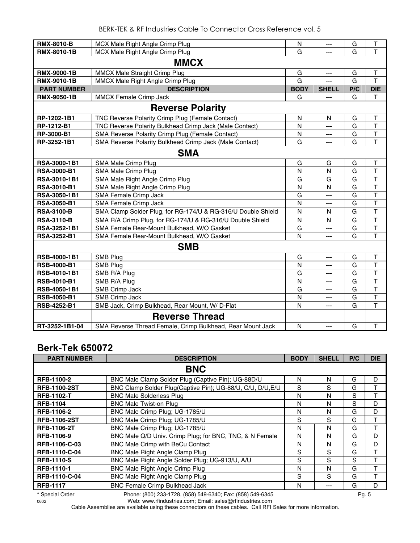| <b>RMX-8010-B</b>  | MCX Male Right Angle Crimp Plug                              | N            | $---$          | G              | Т                       |  |  |  |
|--------------------|--------------------------------------------------------------|--------------|----------------|----------------|-------------------------|--|--|--|
| RMX-8010-1B        | MCX Male Right Angle Crimp Plug                              | G            | ---            | G              | T                       |  |  |  |
| <b>MMCX</b>        |                                                              |              |                |                |                         |  |  |  |
| <b>RMX-9000-1B</b> | MMCX Male Straight Crimp Plug                                | G            | ---            | G              | T                       |  |  |  |
| <b>RMX-9010-1B</b> | MMCX Male Right Angle Crimp Plug                             | G            | $\overline{a}$ | G              | T                       |  |  |  |
| <b>PART NUMBER</b> | <b>DESCRIPTION</b>                                           | <b>BODY</b>  | <b>SHELL</b>   | P/C            | <b>DIE</b>              |  |  |  |
| <b>RMX-9050-1B</b> | MMCX Female Crimp Jack                                       | G            | ---            | G              | т                       |  |  |  |
|                    | <b>Reverse Polarity</b>                                      |              |                |                |                         |  |  |  |
| RP-1202-1B1        | TNC Reverse Polarity Crimp Plug (Female Contact)             | N            | N              | G              | $\mathsf T$             |  |  |  |
| RP-1212-B1         | TNC Reverse Polarity Bulkhead Crimp Jack (Male Contact)      | $\mathsf{N}$ | $---$          | G              | T                       |  |  |  |
| RP-3000-B1         | SMA Reverse Polarity Crimp Plug (Female Contact)             | N            | ---            | G              | $\top$                  |  |  |  |
| RP-3252-1B1        | SMA Reverse Polarity Bulkhead Crimp Jack (Male Contact)      | G            | ---            | G              | $\top$                  |  |  |  |
|                    | <b>SMA</b>                                                   |              |                |                |                         |  |  |  |
| RSA-3000-1B1       | SMA Male Crimp Plug                                          | G            | G              | G              | Τ                       |  |  |  |
| <b>RSA-3000-B1</b> | SMA Male Crimp Plug                                          | N            | N              | G              | $\overline{\mathsf{T}}$ |  |  |  |
| RSA-3010-1B1       | SMA Male Right Angle Crimp Plug                              | G            | G              | G              | T                       |  |  |  |
| RSA-3010-B1        | SMA Male Right Angle Crimp Plug                              | N            | N              | $\overline{G}$ | $\overline{\mathsf{T}}$ |  |  |  |
| RSA-3050-1B1       | SMA Female Crimp Jack                                        | G            | ---            | $\overline{G}$ | $\overline{\mathsf{T}}$ |  |  |  |
| <b>RSA-3050-B1</b> | <b>SMA Female Crimp Jack</b>                                 | $\mathsf{N}$ | ---            | G              | $\overline{\mathsf{T}}$ |  |  |  |
| <b>RSA-3100-B</b>  | SMA Clamp Solder Plug, for RG-174/U & RG-316/U Double Shield | $\mathsf{N}$ | N              | G              | T                       |  |  |  |
| <b>RSA-3110-B</b>  | SMA R/A Crimp Plug, for RG-174/U & RG-316/U Double Shield    | N            | N              | G              | $\mathsf{T}$            |  |  |  |
| RSA-3252-1B1       | SMA Female Rear-Mount Bulkhead, W/O Gasket                   | G            | $\overline{a}$ | G              | T                       |  |  |  |
| <b>RSA-3252-B1</b> | SMA Female Rear-Mount Bulkhead, W/O Gasket                   | $\mathsf{N}$ | ---            | G              | $\mathsf T$             |  |  |  |
|                    | <b>SMB</b>                                                   |              |                |                |                         |  |  |  |
| RSB-4000-1B1       | SMB Plug                                                     | G            | ---            | G              | Τ                       |  |  |  |
| RSB-4000-B1        | SMB Plug                                                     | $\mathsf{N}$ | $\overline{a}$ | G              | T                       |  |  |  |
| RSB-4010-1B1       | SMB R/A Plug                                                 | G            | ---            | G              | $\overline{\mathsf{T}}$ |  |  |  |
| <b>RSB-4010-B1</b> | SMB R/A Plug                                                 | N            | ---            | G              | $\overline{\mathsf{T}}$ |  |  |  |
| RSB-4050-1B1       | SMB Crimp Jack                                               | G            | ---            | G              | $\overline{\mathsf{T}}$ |  |  |  |
| RSB-4050-B1        | SMB Crimp Jack                                               | N            | ---            | G              | $\overline{\mathsf{T}}$ |  |  |  |
| <b>RSB-4252-B1</b> | SMB Jack, Crimp Bulkhead, Rear Mount, W/ D-Flat              | $\mathsf{N}$ | ---            | G              | T                       |  |  |  |
|                    | <b>Reverse Thread</b>                                        |              |                |                |                         |  |  |  |
| RT-3252-1B1-04     | SMA Reverse Thread Female, Crimp Bulkhead, Rear Mount Jack   | N            | $\overline{a}$ | G              | $\mathsf T$             |  |  |  |

## **Berk-Tek 650072**

| <b>PART NUMBER</b>  | <b>DESCRIPTION</b>                                         | <b>BODY</b> | <b>SHELL</b> | P/C | <b>DIE</b> |
|---------------------|------------------------------------------------------------|-------------|--------------|-----|------------|
|                     | <b>BNC</b>                                                 |             |              |     |            |
| <b>RFB-1100-2</b>   | BNC Male Clamp Solder Plug (Captive Pin); UG-88D/U         | N           | N            | G   | D          |
| <b>RFB-1100-2ST</b> | BNC Clamp Solder Plug(Captive Pin); UG-88/U, C/U, D/U, E/U | S           | S            | G   |            |
| <b>RFB-1102-T</b>   | <b>BNC Male Solderless Plug</b>                            | N           | N            | S   |            |
| <b>RFB-1104</b>     | <b>BNC Male Twist-on Plug</b>                              | N           | N            | S   | D          |
| <b>RFB-1106-2</b>   | BNC Male Crimp Plug; UG-1785/U                             | N           | N            | G   | D          |
| <b>RFB-1106-2ST</b> | BNC Male Crimp Plug; UG-1785/U                             | S           | S            | G   |            |
| <b>RFB-1106-2T</b>  | BNC Male Crimp Plug; UG-1785/U                             | N           | N            | G   |            |
| <b>RFB-1106-9</b>   | BNC Male Q/D Univ. Crimp Plug; for BNC, TNC, & N Female    | N           | N            | G   | D          |
| RFB-1106-C-03       | <b>BNC Male Crimp with BeCu Contact</b>                    | N           | N            | G   | D          |
| RFB-1110-C-04       | BNC Male Right Angle Clamp Plug                            | S           | S            | G   | т          |
| <b>RFB-1110-S</b>   | BNC Male Right Angle Solder Plug; UG-913/U, A/U            | S           | S            | S   |            |
| RFB-1110-1          | BNC Male Right Angle Crimp Plug                            | N           | N            | G   | Т          |
| RFB-1110-C-04       | BNC Male Right Angle Clamp Plug                            | S           | S            | G   | т          |
| <b>RFB-1117</b>     | <b>BNC Female Crimp Bulkhead Jack</b>                      | N           |              | G   | D          |

**\*** Special Order Phone: (800) 233-1728, (858) 549-6340; Fax: (858) 549-6345 Pg. 5

0602 Web: www.rfindustries.com; Email: sales@rfindustries.com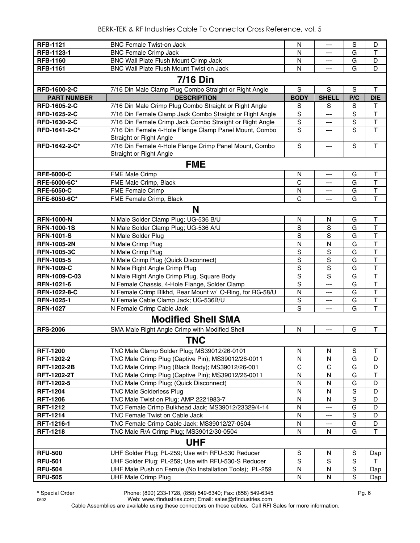| <b>RFB-1121</b>               | <b>BNC Female Twist-on Jack</b>                                   | N                   | ---                 | S              | D                            |
|-------------------------------|-------------------------------------------------------------------|---------------------|---------------------|----------------|------------------------------|
| RFB-1123-1                    | <b>BNC Female Crimp Jack</b>                                      | N                   | ---                 | G              | T                            |
| <b>RFB-1160</b>               | BNC Wall Plate Flush Mount Crimp Jack                             | N                   | ---                 | G              | D                            |
| <b>RFB-1161</b>               | BNC Wall Plate Flush Mount Twist on Jack                          | N                   | ---                 | G              | D                            |
|                               | <b>7/16 Din</b>                                                   |                     |                     |                |                              |
| RFD-1600-2-C                  | 7/16 Din Male Clamp Plug Combo Straight or Right Angle            | S                   | ${\mathsf S}$       | S              | T                            |
| <b>PART NUMBER</b>            | <b>DESCRIPTION</b>                                                | <b>BODY</b>         | <b>SHELL</b>        | P/C            | <b>DIE</b>                   |
| <b>RFD-1605-2-C</b>           | 7/16 Din Male Crimp Plug Combo Straight or Right Angle            |                     | S                   | S              | T                            |
| RFD-1625-2-C                  | 7/16 Din Female Clamp Jack Combo Straight or Right Angle          | S<br>$\mathsf S$    | ---                 | S              | $\top$                       |
|                               | 7/16 Din Female Crimp Jack Combo Straight or Right Angle          | $\mathbf S$         |                     | $\mathbf S$    | $\mathsf T$                  |
| RFD-1630-2-C<br>RFD-1641-2-C* | 7/16 Din Female 4-Hole Flange Clamp Panel Mount, Combo            | S                   | ---                 | S              | T                            |
|                               | Straight or Right Angle                                           |                     | ---                 |                |                              |
| RFD-1642-2-C*                 | 7/16 Din Female 4-Hole Flange Crimp Panel Mount, Combo            | $\mathbf S$         | ---                 | S              | T.                           |
|                               | Straight or Right Angle                                           |                     |                     |                |                              |
|                               |                                                                   |                     |                     |                |                              |
|                               | <b>FME</b>                                                        |                     |                     |                |                              |
| <b>RFE-6000-C</b>             | <b>FME Male Crimp</b>                                             | N                   | ---                 | G              | Т                            |
| RFE-6000-6C*                  | FME Male Crimp, Black                                             | C                   | ---                 | G              | T                            |
| <b>RFE-6050-C</b>             | <b>FME Female Crimp</b>                                           | N                   | ---                 | G              | $\mathsf{T}$                 |
| RFE-6050-6C*                  | FME Female Crimp, Black                                           | C                   | ---                 | G              | T                            |
|                               | N                                                                 |                     |                     |                |                              |
|                               |                                                                   |                     |                     |                |                              |
| <b>RFN-1000-N</b>             | N Male Solder Clamp Plug; UG-536 B/U                              | N                   | N                   | G              | Τ                            |
| <b>RFN-1000-1S</b>            | N Male Solder Clamp Plug; UG-536 A/U                              | $\mathbb S$         | S                   | G              | T<br>T                       |
| <b>RFN-1001-S</b>             | N Male Solder Plug                                                | S                   | S                   | G              |                              |
| <b>RFN-1005-2N</b>            | N Male Crimp Plug                                                 | $\mathsf{N}$        | N                   | G              | $\top$                       |
| <b>RFN-1005-3C</b>            | N Male Crimp Plug                                                 | S<br>$\overline{s}$ | S<br>$\overline{s}$ | G              | T<br>$\overline{\mathsf{T}}$ |
| <b>RFN-1005-5</b>             | N Male Crimp Plug (Quick Disconnect)                              |                     | $\overline{s}$      | G              | $\overline{\mathsf{T}}$      |
| <b>RFN-1009-C</b>             | N Male Right Angle Crimp Plug                                     | $\overline{S}$<br>S | S                   | G<br>G         | T                            |
| RFN-1009-C-03                 | N Male Right Angle Crimp Plug, Square Body                        | S                   | ---                 | G              | $\overline{\mathsf{T}}$      |
| RFN-1021-6                    | N Female Chassis, 4-Hole Flange, Solder Clamp                     |                     |                     | G              | $\overline{\mathsf{T}}$      |
| <b>RFN-1022-8-C</b>           | N Female Crimp Blkhd, Rear Mount w/ O-Ring, for RG-58/U           | N                   | ---                 |                |                              |
| RFN-1025-1                    | N Female Cable Clamp Jack; UG-536B/U<br>N Female Crimp Cable Jack | S<br>S              | ---                 | G              | T<br>$\overline{\mathsf{T}}$ |
| <b>RFN-1027</b>               |                                                                   |                     | ---                 | G              |                              |
|                               | <b>Modified Shell SMA</b>                                         |                     |                     |                |                              |
| <b>RFS-2006</b>               | SMA Male Right Angle Crimp with Modified Shell                    | N                   | $---$               | G              | Τ                            |
|                               | <b>TNC</b>                                                        |                     |                     |                |                              |
|                               |                                                                   |                     |                     |                |                              |
| <b>RFT-1200</b>               | TNC Male Clamp Solder Plug; MS39012/26-0101                       | N                   | N                   | ${\mathsf S}$  | $\mathsf{T}$                 |
| RFT-1202-2                    | TNC Male Crimp Plug (Captive Pin); MS39012/26-0011                | N                   | N                   | G              | D                            |
| <b>RFT-1202-2B</b>            | TNC Male Crimp Plug (Black Body); MS39012/26-001                  | $\mathsf{C}$        | C                   | G              | D                            |
| <b>RFT-1202-2T</b>            | TNC Male Crimp Plug (Captive Pin); MS39012/26-0011                | N                   | N                   | G              | $\top$                       |
| <b>RFT-1202-5</b>             | TNC Male Crimp Plug; (Quick Disconnect)                           | $\mathsf{N}$        | N                   | G              | D                            |
| <b>RFT-1204</b>               | <b>TNC Male Solderless Plug</b>                                   | $\mathsf{N}$        | N                   | $\mathbf S$    | D                            |
| <b>RFT-1206</b>               | TNC Male Twist on Plug; AMP 2221983-7                             | $\mathsf{N}$        | N                   | $\overline{s}$ | D                            |
| <b>RFT-1212</b>               | TNC Female Crimp Bulkhead Jack; MS39012/23329/4-14                | N                   | ---                 | G              | D                            |
| <b>RFT-1214</b>               | TNC Female Twist on Cable Jack                                    | N                   | ---                 | S              | D                            |
| RFT-1216-1                    | TNC Female Crimp Cable Jack; MS39012/27-0504                      | N                   |                     | G              | D                            |
| <b>RFT-1218</b>               | TNC Male R/A Crimp Plug; MS39012/30-0504                          | N                   | N                   | G              | T                            |
|                               | <b>UHF</b>                                                        |                     |                     |                |                              |
| <b>RFU-500</b>                | UHF Solder Plug; PL-259; Use with RFU-530 Reducer                 | S                   | N                   | S              | Dap                          |
| <b>RFU-501</b>                | UHF Solder Plug; PL-259; Use with RFU-530-S Reducer               | S                   | S                   | S              | т                            |
| <b>RFU-504</b>                | UHF Male Push on Ferrule (No Installation Tools); PL-259          | N                   | ${\sf N}$           | S              | Dap                          |
| <b>RFU-505</b>                | <b>UHF Male Crimp Plug</b>                                        | N                   | N                   | S              | Dap                          |

0602 Web: www.rfindustries.com; Email: sales@rfindustries.com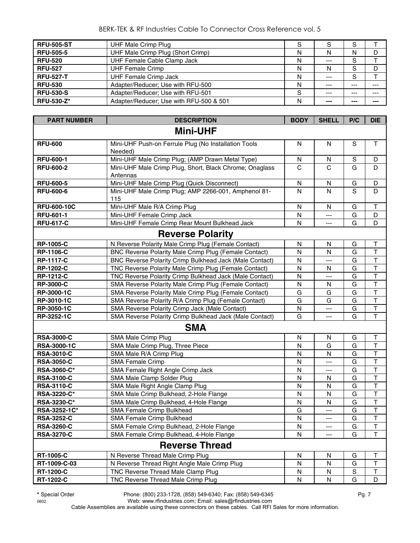#### BERK-TEK & RF Industries Cable To Connector Cross Reference vol. 5

| <b>RFU-505-ST</b> | UHF Male Crimp Plug                     | S |         | S     |       |
|-------------------|-----------------------------------------|---|---------|-------|-------|
| <b>RFU-505-5</b>  | UHF Male Crimp Plug (Short Crimp)       | N | N       | N     | D     |
| <b>RFU-520</b>    | UHF Female Cable Clamp Jack             | N | $---$   | S     |       |
| <b>RFU-527</b>    | <b>UHF Female Crimp</b>                 | N | N       | S     | D     |
| <b>RFU-527-T</b>  | UHF Female Crimp Jack                   | N | $---$   | S     |       |
| <b>RFU-530</b>    | Adapter/Reducer; Use with RFU-500       | N | $--$    | $---$ | ---   |
| <b>RFU-530-S</b>  | Adapter/Reducer; Use with RFU-501       | S | $- - -$ | $---$ | $---$ |
| <b>RFU-530-Z*</b> | Adapter/Reducer; Use with RFU-500 & 501 | N | $- - -$ | ---   | ---   |

| <b>PART NUMBER</b> | <b>DESCRIPTION</b>                                                  | <b>BODY</b>  | <b>SHELL</b>   | P/C         | <b>DIE</b>              |  |  |  |
|--------------------|---------------------------------------------------------------------|--------------|----------------|-------------|-------------------------|--|--|--|
| <b>Mini-UHF</b>    |                                                                     |              |                |             |                         |  |  |  |
| <b>RFU-600</b>     | Mini-UHF Push-on Ferrule Plug (No Installation Tools                | N            | N              | S           | $\mathsf{T}$            |  |  |  |
|                    | Needed)                                                             |              |                |             |                         |  |  |  |
| <b>RFU-600-1</b>   | Mini-UHF Male Crimp Plug; (AMP Drawn Metal Type)                    | N            | N              | $\mathbf S$ | D                       |  |  |  |
| <b>RFU-600-2</b>   | Mini-UHF Male Crimp Plug, Short, Black Chrome; Onaglass<br>Antennas | $\mathsf{C}$ | $\mathsf{C}$   | G           | D                       |  |  |  |
| <b>RFU-600-5</b>   | Mini-UHF Male Crimp Plug (Quick Disconnect)                         | ${\sf N}$    | ${\sf N}$      | G           | D                       |  |  |  |
| <b>RFU-600-6</b>   | Mini-UHF Male Crimp Plug; AMP 2266-001, Amphenol 81-<br>115         | N            | N              | S           | D                       |  |  |  |
| <b>RFU-600-10C</b> | Mini-UHF Male R/A Crimp Plug                                        | $\mathsf{N}$ | $\mathsf{N}$   | G           | $\top$                  |  |  |  |
| <b>RFU-601-1</b>   | Mini-UHF Female Crimp Jack                                          | $\mathsf{N}$ | ---            | G           | D                       |  |  |  |
| <b>RFU-617-C</b>   | Mini-UHF Female Crimp Rear Mount Bulkhead Jack                      | N            | ---            | G           | D                       |  |  |  |
|                    | <b>Reverse Polarity</b>                                             |              |                |             |                         |  |  |  |
| <b>RP-1005-C</b>   | N Reverse Polarity Male Crimp Plug (Female Contact)                 | N            | N              | G           | Τ                       |  |  |  |
| <b>RP-1106-C</b>   | BNC Reverse Polarity Male Crimp Plug (Female Contact)               | N            | N              | G           | $\overline{\mathsf{T}}$ |  |  |  |
| <b>RP-1117-C</b>   | BNC Reverse Polarity Crimp Bulkhead Jack (Male Contact)             | N            | ---            | G           | $\overline{\mathsf{T}}$ |  |  |  |
| <b>RP-1202-C</b>   | TNC Reverse Polarity Male Crimp Plug (Female Contact)               | N            | N              | G           | T                       |  |  |  |
| <b>RP-1212-C</b>   | TNC Reverse Polarity Crimp Bulkhead Jack (Male Contact)             | N            | ---            | G           | T                       |  |  |  |
| <b>RP-3000-C</b>   | SMA Reverse Polarity Male Crimp Plug (Female Contact)               | $\mathsf{N}$ | N              | G           | T                       |  |  |  |
| RP-3000-1C         | SMA Reverse Polarity Male Crimp Plug (Female Contact)               | G            | G              | G           | T                       |  |  |  |
| RP-3010-1C         | SMA Reverse Polarity R/A Crimp Plug (Female Contact)                | G            | G              | G           | T                       |  |  |  |
| RP-3050-1C         | SMA Reverse Polarity Crimp Jack (Male Contact)                      | N            | ---            | G           | $\mathsf T$             |  |  |  |
| RP-3252-1C         | SMA Reverse Polarity Crimp Bulkhead Jack (Male Contact)             | G            | ---            | G           | $\top$                  |  |  |  |
|                    | <b>SMA</b>                                                          |              |                |             |                         |  |  |  |
| <b>RSA-3000-C</b>  | SMA Male Crimp Plug                                                 | N            | N              | G           | Τ                       |  |  |  |
| <b>RSA-3000-1C</b> | SMA Male Crimp Plug, Three Piece                                    | N            | G              | G           | T                       |  |  |  |
| <b>RSA-3010-C</b>  | SMA Male R/A Crimp Plug                                             | N            | N              | G           | $\mathsf T$             |  |  |  |
| <b>RSA-3050-C</b>  | <b>SMA Female Crimp</b>                                             | $\mathsf{N}$ | ---            | G           | T                       |  |  |  |
| RSA-3060-C*        | SMA Female Right Angle Crimp Jack                                   | N            | $\overline{a}$ | G           | T                       |  |  |  |
| <b>RSA-3100-C</b>  | SMA Male Clamp Solder Plug                                          | N            | N              | G           | $\overline{\mathsf{T}}$ |  |  |  |
| <b>RSA-3110-C</b>  | SMA Male Right Angle Clamp Plug                                     | N            | N              | G           | $\top$                  |  |  |  |
| RSA-3220-C*        | SMA Male Crimp Bulkhead, 2-Hole Flange                              | N            | N              | G           | T                       |  |  |  |
| RSA-3230-C*        | SMA Male Crimp Bulkhead, 4-Hole Flange                              | N            | N              | G           | T                       |  |  |  |
| RSA-3252-1C*       | SMA Female Crimp Bulkhead                                           | G            | ---            | G           | $\overline{\mathsf{T}}$ |  |  |  |
| <b>RSA-3252-C</b>  | SMA Female Crimp Bulkhead                                           | $\mathsf{N}$ | ---            | G           | T                       |  |  |  |
| <b>RSA-3260-C</b>  | SMA Female Crimp Bulkhead, 2-Hole Flange                            | N            | ---            | G           | T                       |  |  |  |
| <b>RSA-3270-C</b>  | SMA Female Crimp Bulkhead, 4-Hole Flange                            | N            | ---            | G           | Т                       |  |  |  |
|                    | <b>Reverse Thread</b>                                               |              |                |             |                         |  |  |  |
| <b>RT-1005-C</b>   | N Reverse Thread Male Crimp Plug                                    | N            | N              | G           | Τ                       |  |  |  |
| RT-1009-C-03       | N Reverse Thread Right Angle Male Crimp Plug                        | N            | N              | G           | Τ                       |  |  |  |
| <b>RT-1200-C</b>   | TNC Reverse Thread Male Clamp Plug                                  | N            | N              | S           | $\sf T$                 |  |  |  |
| RT-1202-C          | TNC Reverse Thread Male Crimp Plug                                  | N            | N              | G           | D                       |  |  |  |

**\*** Special Order Phone: (800) 233-1728, (858) 549-6340; Fax: (858) 549-6345 Pg. 7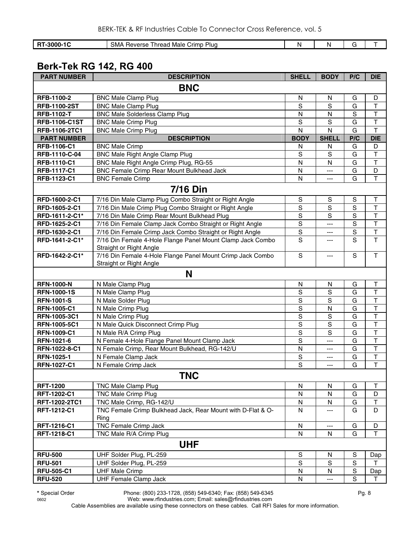| <b>I RT-3000-1C</b> | SMA Reverse Thread Male Crimp Plug |        |             | G   |      |
|---------------------|------------------------------------|--------|-------------|-----|------|
|                     |                                    |        |             |     |      |
|                     | <b>Berk-Tek RG 142, RG 400</b>     |        |             |     |      |
| <b>DADT NUMADED</b> | <b>DECODIDTION</b>                 | CUTE11 | <b>DODV</b> | n/n | DIE. |

| <b>PART NUMBER</b>   | <b>DESCRIPTION</b>                                          | <b>SHELL</b>   | <b>BODY</b>    | P/C            | <b>DIE</b>              |
|----------------------|-------------------------------------------------------------|----------------|----------------|----------------|-------------------------|
|                      | <b>BNC</b>                                                  |                |                |                |                         |
| RFB-1100-2           | <b>BNC Male Clamp Plug</b>                                  | N              | N              | G              | D                       |
| <b>RFB-1100-2ST</b>  | <b>BNC Male Clamp Plug</b>                                  | $\mathbf S$    | S              | G              | T                       |
| <b>RFB-1102-T</b>    | <b>BNC Male Solderless Clamp Plug</b>                       | ${\sf N}$      | N              | S              | $\top$                  |
| <b>RFB-1106-C1ST</b> | <b>BNC Male Crimp Plug</b>                                  | S              | S              | G              | $\mathsf T$             |
| RFB-1106-2TC1        | <b>BNC Male Crimp Plug</b>                                  | ${\sf N}$      | N              | G              | $\mathsf T$             |
| <b>PART NUMBER</b>   | <b>DESCRIPTION</b>                                          | <b>BODY</b>    | <b>SHELL</b>   | P/C            | <b>DIE</b>              |
| RFB-1106-C1          | <b>BNC Male Crimp</b>                                       | N              | N              | G              | D                       |
| RFB-1110-C-04        | <b>BNC Male Right Angle Clamp Plug</b>                      | $\mathbf S$    | $\mathbf S$    | G              | $\overline{\mathsf{T}}$ |
| <b>RFB-1110-C1</b>   | BNC Male Right Angle Crimp Plug, RG-55                      | N              | N              | G              | $\top$                  |
| <b>RFB-1117-C1</b>   | <b>BNC Female Crimp Rear Mount Bulkhead Jack</b>            | ${\sf N}$      | ---            | G              | D                       |
| RFB-1123-C1          | <b>BNC Female Crimp</b>                                     | N              | ---            | G              | T                       |
|                      | 7/16 Din                                                    |                |                |                |                         |
| RFD-1600-2-C1        | 7/16 Din Male Clamp Plug Combo Straight or Right Angle      | S              | $\mathbb S$    | S              | $\top$                  |
| RFD-1605-2-C1        | 7/16 Din Male Crimp Plug Combo Straight or Right Angle      | $\mathbf S$    | $\mathbf S$    | $\overline{S}$ | T                       |
| RFD-1611-2-C1*       | 7/16 Din Male Crimp Rear Mount Bulkhead Plug                | $\mathsf S$    | $\overline{s}$ | $\overline{s}$ | $\overline{\mathsf{T}}$ |
| RFD-1625-2-C1        | 7/16 Din Female Clamp Jack Combo Straight or Right Angle    | $\overline{S}$ | $---$          | $\overline{s}$ | $\overline{\mathsf{T}}$ |
| RFD-1630-2-C1        | 7/16 Din Female Crimp Jack Combo Straight or Right Angle    | $\mathbb S$    | ---            | $\mathsf S$    | $\top$                  |
| RFD-1641-2-C1*       | 7/16 Din Female 4-Hole Flange Panel Mount Clamp Jack Combo  | $\overline{s}$ | ---            | $\overline{s}$ | $\overline{\mathsf{T}}$ |
|                      | Straight or Right Angle                                     |                |                |                |                         |
| RFD-1642-2-C1*       | 7/16 Din Female 4-Hole Flange Panel Mount Crimp Jack Combo  | S              | ---            | ${\mathsf S}$  | T.                      |
|                      | Straight or Right Angle                                     |                |                |                |                         |
|                      | N                                                           |                |                |                |                         |
| <b>RFN-1000-N</b>    | N Male Clamp Plug                                           | ${\sf N}$      | $\mathsf{N}$   | G              | $\sf T$                 |
| <b>RFN-1000-1S</b>   | N Male Clamp Plug                                           | $\mathbf S$    | $\mathbf S$    | G              | $\top$                  |
| <b>RFN-1001-S</b>    | N Male Solder Plug                                          | $\rm S$        | S              | G              | $\top$                  |
| <b>RFN-1005-C1</b>   | N Male Crimp Plug                                           | S              | N              | G              | $\mathsf T$             |
| RFN-1005-3C1         | N Male Crimp Plug                                           | $\overline{s}$ | $\mathbf S$    | G              | $\overline{\mathsf{T}}$ |
| RFN-1005-5C1         | N Male Quick Disconnect Crimp Plug                          | S              | $\mathbf S$    | G              | $\top$                  |
| <b>RFN-1009-C1</b>   | N Male R/A Crimp Plug                                       | S              | $\mathbf S$    | G              | $\mathsf T$             |
| RFN-1021-6           | N Female 4-Hole Flange Panel Mount Clamp Jack               | $\mathsf S$    | ---            | G              | T                       |
| RFN-1022-8-C1        | N Female Crimp, Rear Mount Bulkhead, RG-142/U               | ${\sf N}$      | $\overline{a}$ | G              | T                       |
| RFN-1025-1           | N Female Clamp Jack                                         | ${\mathbb S}$  | ---            | G              | T                       |
| <b>RFN-1027-C1</b>   | N Female Crimp Jack                                         | S              | ---            | G              | $\mathsf{T}$            |
|                      | <b>TNC</b>                                                  |                |                |                |                         |
| <b>RFT-1200</b>      | TNC Male Clamp Plug                                         | N              | N              | G              | Т                       |
| RFT-1202-C1          | <b>TNC Male Crimp Plug</b>                                  | $\mathsf{N}$   | $\mathsf{N}$   | G              | D                       |
| RFT-1202-2TC1        | TNC Male Crimp, RG-142/U                                    | ${\sf N}$      | N              | G              | T                       |
| RFT-1212-C1          | TNC Female Crimp Bulkhead Jack, Rear Mount with D-Flat & O- | $\mathsf{N}$   | ---            | G              | D                       |
|                      | Ring                                                        |                |                |                |                         |
| RFT-1216-C1          | TNC Female Crimp Jack                                       | N              | ---            | G              | D                       |
| RFT-1218-C1          | TNC Male R/A Crimp Plug                                     | N              | N              | G              | $\top$                  |
|                      | <b>UHF</b>                                                  |                |                |                |                         |
| <b>RFU-500</b>       | UHF Solder Plug, PL-259                                     | ${\mathsf S}$  | N              | $\mathbb S$    | Dap                     |
| <b>RFU-501</b>       | UHF Solder Plug, PL-259                                     | ${\mathsf S}$  | ${\mathsf S}$  | ${\mathbb S}$  | $\mathsf{T}$            |
| <b>RFU-505-C1</b>    | <b>UHF Male Crimp</b>                                       | N              | N              | ${\sf S}$      | Dap                     |
| <b>RFU-520</b>       | <b>UHF Female Clamp Jack</b>                                | N              | ---            | $\mathsf S$    | T.                      |

**\*** Special Order Phone: (800) 233-1728, (858) 549-6340; Fax: (858) 549-6345 Pg. 8

0602 Web: www.rfindustries.com; Email: sales@rfindustries.com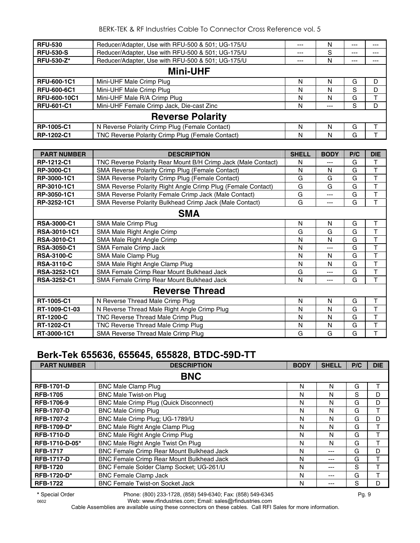| <b>RFU-530</b>     | Reducer/Adapter, Use with RFU-500 & 501; UG-175/U | $--$  | N   | $---$ |   |  |  |  |  |
|--------------------|---------------------------------------------------|-------|-----|-------|---|--|--|--|--|
| <b>RFU-530-S</b>   | Reducer/Adapter, Use with RFU-500 & 501; UG-175/U | $---$ | S   | $---$ |   |  |  |  |  |
| <b>RFU-530-Z*</b>  | Reducer/Adapter, Use with RFU-500 & 501; UG-175/U | $---$ | N   | $---$ |   |  |  |  |  |
| <b>Mini-UHF</b>    |                                                   |       |     |       |   |  |  |  |  |
| <b>RFU-600-1C1</b> | Mini-UHF Male Crimp Plug                          | N     | N   | G     | D |  |  |  |  |
| <b>RFU-600-6C1</b> | Mini-UHF Male Crimp Plug                          | N     | N   | S     | D |  |  |  |  |
| RFU-600-10C1       | Mini-UHF Male R/A Crimp Plug                      | N     | N   | G     |   |  |  |  |  |
| <b>RFU-601-C1</b>  | Mini-UHF Female Crimp Jack, Die-cast Zinc         | N     | --- | S     | D |  |  |  |  |
|                    | <b>Reverse Polarity</b>                           |       |     |       |   |  |  |  |  |
| RP-1005-C1         | N Reverse Polarity Crimp Plug (Female Contact)    | N     | N   | G     |   |  |  |  |  |
| RP-1202-C1         | TNC Reverse Polarity Crimp Plug (Female Contact)  | N     | N   | G     |   |  |  |  |  |

| <b>PART NUMBER</b>  | <b>DESCRIPTION</b>                                            | <b>SHELL</b> | <b>BODY</b> | P/C | <b>DIE</b> |  |  |
|---------------------|---------------------------------------------------------------|--------------|-------------|-----|------------|--|--|
| RP-1212-C1          | TNC Reverse Polarity Rear Mount B/H Crimp Jack (Male Contact) | N            | ---         | G   | Τ          |  |  |
| RP-3000-C1          | <b>SMA Reverse Polarity Crimp Plug (Female Contact)</b>       | N            | N           | G   | T          |  |  |
| RP-3000-1C1         | SMA Reverse Polarity Crimp Plug (Female Contact)              | G            | G           | G   | T          |  |  |
| RP-3010-1C1         | SMA Reverse Polarity Right Angle Crimp Plug (Female Contact)  | G            | G           | G   | T          |  |  |
| RP-3050-1C1         | SMA Reverse Polarity Female Crimp Jack (Male Contact)         | G            | ---         | G   | Τ          |  |  |
| RP-3252-1C1         | SMA Reverse Polarity Bulkhead Crimp Jack (Male Contact)       | G            | ---         | G   | T          |  |  |
| <b>SMA</b>          |                                                               |              |             |     |            |  |  |
| <b>RSA-3000-C1</b>  | SMA Male Crimp Plug                                           | N            | N           | G   | T          |  |  |
| <b>RSA-3010-1C1</b> | SMA Male Right Angle Crimp                                    | G            | G           | G   | Т          |  |  |
| <b>RSA-3010-C1</b>  | SMA Male Right Angle Crimp                                    | N            | N           | G   | Τ          |  |  |
| <b>RSA-3050-C1</b>  | SMA Female Crimp Jack                                         | N            | ---         | G   | T          |  |  |
| <b>RSA-3100-C</b>   | SMA Male Clamp Plug                                           | N            | N           | G   | T          |  |  |
| <b>RSA-3110-C</b>   | SMA Male Right Angle Clamp Plug                               | N            | N           | G   | T          |  |  |
| RSA-3252-1C1        | SMA Female Crimp Rear Mount Bulkhead Jack                     | G            | ---         | G   | T          |  |  |
| <b>RSA-3252-C1</b>  | SMA Female Crimp Rear Mount Bulkhead Jack                     | N            | ---         | G   | T          |  |  |
|                     | <b>Reverse Thread</b>                                         |              |             |     |            |  |  |
| RT-1005-C1          | N Reverse Thread Male Crimp Plug                              | N            | N           | G   | Т          |  |  |
| RT-1009-C1-03       | N Reverse Thread Male Right Angle Crimp Plug                  | N            | N           | G   | T          |  |  |
| <b>RT-1200-C</b>    | TNC Reverse Thread Male Crimp Plug                            | N            | N           | G   | T          |  |  |
| RT-1202-C1          | TNC Reverse Thread Male Crimp Plug                            | N            | N           | G   | Τ          |  |  |
| RT-3000-1C1         | SMA Reverse Thread Male Crimp Plug                            | G            | G           | G   | T          |  |  |

## **Berk-Tek 655636, 655645, 655828, BTDC-59D-TT**

| <b>PART NUMBER</b> | <b>DESCRIPTION</b>                               | <b>BODY</b> | <b>SHELL</b> | P/C | <b>DIE</b> |
|--------------------|--------------------------------------------------|-------------|--------------|-----|------------|
|                    | <b>BNC</b>                                       |             |              |     |            |
| <b>RFB-1701-D</b>  | <b>BNC Male Clamp Plug</b>                       | N           | N            | G   |            |
| <b>RFB-1705</b>    | <b>BNC Male Twist-on Plug</b>                    | N           | N            | S   | D          |
| RFB-1706-9         | <b>BNC Male Crimp Plug (Quick Disconnect)</b>    | N           | N            | G   | D          |
| <b>RFB-1707-D</b>  | <b>BNC Male Crimp Plug</b>                       | N           | N            | G   | т          |
| <b>RFB-1707-2</b>  | BNC Male Crimp Plug; UG-1789/U                   | N           | N            | G   | D          |
| <b>RFB-1709-D*</b> | <b>BNC Male Right Angle Clamp Plug</b>           | N           | N            | G   | т          |
| <b>RFB-1710-D</b>  | <b>BNC Male Right Angle Crimp Plug</b>           | N           | N            | G   | т          |
| RFB-1710-D-05*     | BNC Male Right Angle Twist On Plug               | N           | N            | G   |            |
| <b>RFB-1717</b>    | <b>BNC Female Crimp Rear Mount Bulkhead Jack</b> | N           | ---          | G   | D          |
| <b>RFB-1717-D</b>  | <b>BNC Female Crimp Rear Mount Bulkhead Jack</b> | N           | ---          | G   |            |
| <b>RFB-1720</b>    | BNC Female Solder Clamp Socket; UG-261/U         | N           | ---          | S   |            |
| <b>RFB-1720-D*</b> | <b>BNC Female Clamp Jack</b>                     | N           | ---          | G   | т          |
| <b>RFB-1722</b>    | <b>BNC Female Twist-on Socket Jack</b>           | N           |              | S   | D          |

**\*** Special Order Phone: (800) 233-1728, (858) 549-6340; Fax: (858) 549-6345 Pg. 9

0602 Web: www.rfindustries.com; Email: sales@rfindustries.com Cable Assemblies are available using these connectors on these cables. Call RFI Sales for more information.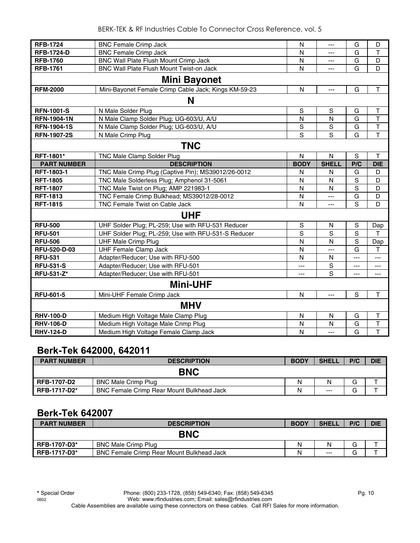| <b>RFB-1724</b>     | <b>BNC Female Crimp Jack</b>                         | N             | ---            | G              | D                       |  |  |  |
|---------------------|------------------------------------------------------|---------------|----------------|----------------|-------------------------|--|--|--|
| <b>RFB-1724-D</b>   | <b>BNC Female Crimp Jack</b>                         | N             | ---            | G              | $\mathsf{T}$            |  |  |  |
| <b>RFB-1760</b>     | BNC Wall Plate Flush Mount Crimp Jack                | N             | ---            | G              | D                       |  |  |  |
| <b>RFB-1761</b>     | BNC Wall Plate Flush Mount Twist-on Jack             | N             | $---$          | G              | D                       |  |  |  |
| <b>Mini Bayonet</b> |                                                      |               |                |                |                         |  |  |  |
| <b>RFM-2000</b>     | Mini-Bayonet Female Crimp Cable Jack; Kings KM-59-23 | $\mathsf{N}$  | $\overline{a}$ | G              | $\mathsf T$             |  |  |  |
|                     | N                                                    |               |                |                |                         |  |  |  |
| <b>RFN-1001-S</b>   | N Male Solder Plug                                   | ${\mathsf S}$ | S              | G              | $\mathsf{T}$            |  |  |  |
| <b>RFN-1904-1N</b>  | N Male Clamp Solder Plug; UG-603/U, A/U              | $\mathsf{N}$  | $\mathsf{N}$   | G              | $\mathsf{T}$            |  |  |  |
| <b>RFN-1904-1S</b>  | N Male Clamp Solder Plug; UG-603/U, A/U              | S             | S              | G              | $\top$                  |  |  |  |
| <b>RFN-1907-2S</b>  | N Male Crimp Plug                                    | S             | S              | G              | $\mathsf{T}$            |  |  |  |
|                     | <b>TNC</b>                                           |               |                |                |                         |  |  |  |
| RFT-1801*           | <b>TNC Male Clamp Solder Plug</b>                    | N             | $\mathsf{N}$   | S              | T                       |  |  |  |
| <b>PART NUMBER</b>  | <b>DESCRIPTION</b>                                   | <b>BODY</b>   | <b>SHELL</b>   | P/C            | <b>DIE</b>              |  |  |  |
| <b>RFT-1803-1</b>   | TNC Male Crimp Plug (Captive Pin); MS39012/26-0012   | N             | N              | G              | D                       |  |  |  |
| <b>RFT-1805</b>     | TNC Male Solderless Plug; Amphenol 31-5061           | N             | N              | S              | D                       |  |  |  |
| <b>RFT-1807</b>     | TNC Male Twist on Plug; AMP 221983-1                 | N             | N              | S              | D                       |  |  |  |
| <b>RFT-1813</b>     | TNC Female Crimp Bulkhead; MS39012/28-0012           | N             | ---            | G              | D                       |  |  |  |
| <b>RFT-1815</b>     | TNC Female Twist on Cable Jack                       | N             | $---$          | S              | D                       |  |  |  |
|                     | <b>UHF</b>                                           |               |                |                |                         |  |  |  |
| <b>RFU-500</b>      | UHF Solder Plug; PL-259; Use with RFU-531 Reducer    | S             | N              | S              | Dap                     |  |  |  |
| <b>RFU-501</b>      | UHF Solder Plug; PL-259; Use with RFU-531-S Reducer  | S             | S              | S              | т                       |  |  |  |
| <b>RFU-506</b>      | <b>UHF Male Crimp Plug</b>                           | N             | N              | S              | Dap                     |  |  |  |
| RFU-520-D-03        | <b>UHF Female Clamp Jack</b>                         | N             | ---            | G              | T                       |  |  |  |
| <b>RFU-531</b>      | Adapter/Reducer; Use with RFU-500                    | N             | N              | ---            | ---                     |  |  |  |
| <b>RFU-531-S</b>    | Adapter/Reducer; Use with RFU-501                    | ---           | S              | ---            | ---                     |  |  |  |
| RFU-531-Z*          | Adapter/Reducer; Use with RFU-501                    | ---           | S              | ---            | $\cdots$                |  |  |  |
|                     | <b>Mini-UHF</b>                                      |               |                |                |                         |  |  |  |
| <b>RFU-601-5</b>    | Mini-UHF Female Crimp Jack                           | $\mathsf{N}$  | $---$          | S              | $\mathsf T$             |  |  |  |
|                     | <b>MHV</b>                                           |               |                |                |                         |  |  |  |
| <b>RHV-100-D</b>    | Medium High Voltage Male Clamp Plug                  | N             | N              | G              | Τ                       |  |  |  |
| <b>RHV-106-D</b>    | Medium High Voltage Male Crimp Plug                  | N             | N              | G              | $\overline{\mathsf{T}}$ |  |  |  |
| <b>RHV-124-D</b>    | Medium High Voltage Female Clamp Jack                | N             | ---            | $\overline{G}$ | $\overline{\mathsf{T}}$ |  |  |  |

## **Berk-Tek 642000, 642011**

| <b>PART NUMBER</b> | <b>DESCRIPTION</b>                               | <b>BODY</b> | <b>SHELL</b> | P/C | <b>DIE</b> |
|--------------------|--------------------------------------------------|-------------|--------------|-----|------------|
|                    | <b>BNC</b>                                       |             |              |     |            |
| <b>RFB-1707-D2</b> | <b>BNC Male Crimp Plug</b>                       | N           | N            | G   |            |
| RFB-1717-D2*       | <b>BNC Female Crimp Rear Mount Bulkhead Jack</b> | Ν           | $---$        | G   |            |

## **Berk-Tek 642007**

| <b>PART NUMBER</b>  | <b>DESCRIPTION</b>                               | <b>BODY</b> | <b>SHELL</b> | P/C | <b>DIE</b> |
|---------------------|--------------------------------------------------|-------------|--------------|-----|------------|
|                     | <b>BNC</b>                                       |             |              |     |            |
| <b>RFB-1707-D3*</b> | <b>BNC Male Crimp Plug</b>                       | Ν           | Ν            | G   |            |
| <b>RFB-1717-D3*</b> | <b>BNC Female Crimp Rear Mount Bulkhead Jack</b> | Ν           | $---$        | G   |            |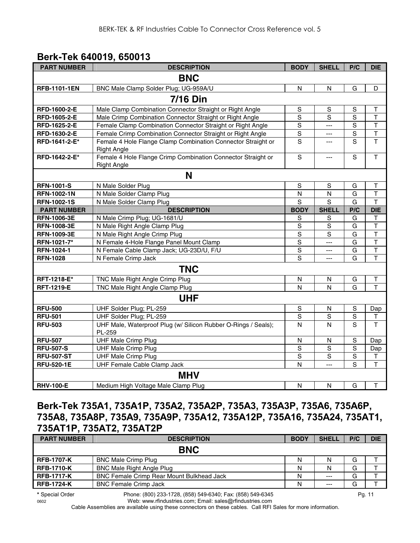## **Berk-Tek 640019, 650013**

| <b>PART NUMBER</b>  | <b>DESCRIPTION</b>                                                       | <b>BODY</b>    | <b>SHELL</b>   | P/C            | <b>DIE</b>              |  |  |  |  |
|---------------------|--------------------------------------------------------------------------|----------------|----------------|----------------|-------------------------|--|--|--|--|
|                     | <b>BNC</b>                                                               |                |                |                |                         |  |  |  |  |
| <b>RFB-1101-1EN</b> | BNC Male Clamp Solder Plug; UG-959A/U                                    | N              | N              | G              | D                       |  |  |  |  |
| <b>7/16 Din</b>     |                                                                          |                |                |                |                         |  |  |  |  |
| RFD-1600-2-E        | Male Clamp Combination Connector Straight or Right Angle                 | $\mathsf S$    | ${\sf S}$      | ${\mathsf S}$  | $\mathsf T$             |  |  |  |  |
| RFD-1605-2-E        | Male Crimp Combination Connector Straight or Right Angle                 | $\mathbf S$    | S              | S              | $\mathsf T$             |  |  |  |  |
| RFD-1625-2-E        | Female Clamp Combination Connector Straight or Right Angle               | $\mathbf S$    | $\overline{a}$ | ${\mathsf S}$  | T                       |  |  |  |  |
| RFD-1630-2-E        | Female Crimp Combination Connector Straight or Right Angle               | $\mathbf S$    | ---            | $\mathbf S$    | $\overline{\mathsf{T}}$ |  |  |  |  |
| RFD-1641-2-E*       | Female 4 Hole Flange Clamp Combination Connector Straight or             | $\overline{s}$ | ---            | $\overline{s}$ | $\overline{\mathsf{T}}$ |  |  |  |  |
|                     | <b>Right Angle</b>                                                       |                |                |                |                         |  |  |  |  |
| RFD-1642-2-E*       | Female 4 Hole Flange Crimp Combination Connector Straight or             | $\mathsf S$    | ---            | S              | $\overline{\mathsf{T}}$ |  |  |  |  |
|                     | <b>Right Angle</b>                                                       |                |                |                |                         |  |  |  |  |
|                     | N                                                                        |                |                |                |                         |  |  |  |  |
| <b>RFN-1001-S</b>   | N Male Solder Plug                                                       | $\mathbf S$    | $\mathbb S$    | G              | T                       |  |  |  |  |
| <b>RFN-1002-1N</b>  | N Male Solder Clamp Plug                                                 | N              | $\mathsf{N}$   | G              | T                       |  |  |  |  |
| <b>RFN-1002-1S</b>  | N Male Solder Clamp Plug                                                 | S              | S              | G              | $\overline{\mathsf{T}}$ |  |  |  |  |
| <b>PART NUMBER</b>  | <b>DESCRIPTION</b>                                                       | <b>BODY</b>    | <b>SHELL</b>   | P/C            | <b>DIE</b>              |  |  |  |  |
| <b>RFN-1006-3E</b>  | N Male Crimp Plug; UG-1681/U                                             | $\mathbb S$    | S              | G              | $\mathsf T$             |  |  |  |  |
| <b>RFN-1008-3E</b>  | N Male Right Angle Clamp Plug                                            | ${\mathsf S}$  | S              | G              | $\mathsf{T}$            |  |  |  |  |
| RFN-1009-3E         | N Male Right Angle Crimp Plug                                            | $\overline{s}$ | $\mathbf S$    | G              | $\overline{\mathsf{T}}$ |  |  |  |  |
| RFN-1021-7*         | N Female 4-Hole Flange Panel Mount Clamp                                 | $\overline{s}$ | <u></u>        | G              | T                       |  |  |  |  |
| RFN-1024-1          | N Female Cable Clamp Jack; UG-23D/U, F/U                                 | $\overline{S}$ | ---            | G              | $\overline{\mathsf{T}}$ |  |  |  |  |
| <b>RFN-1028</b>     | N Female Crimp Jack                                                      | $\overline{s}$ | ---            | G              | $\mathsf T$             |  |  |  |  |
|                     | <b>TNC</b>                                                               |                |                |                |                         |  |  |  |  |
| RFT-1218-E*         | TNC Male Right Angle Crimp Plug                                          | N              | N              | G              | T                       |  |  |  |  |
| <b>RFT-1219-E</b>   | TNC Male Right Angle Clamp Plug                                          | N              | N              | G              | T                       |  |  |  |  |
|                     | <b>UHF</b>                                                               |                |                |                |                         |  |  |  |  |
| <b>RFU-500</b>      | UHF Solder Plug; PL-259                                                  | ${\mathsf S}$  | ${\sf N}$      | $\mathbf S$    | Dap                     |  |  |  |  |
| <b>RFU-501</b>      | UHF Solder Plug; PL-259                                                  | $\overline{s}$ | $\mathbf S$    | $\overline{s}$ | $\sf T$                 |  |  |  |  |
| <b>RFU-503</b>      | UHF Male, Waterproof Plug (w/ Silicon Rubber O-Rings / Seals);<br>PL-259 | N              | $\overline{N}$ | $\overline{s}$ | $\mathsf T$             |  |  |  |  |
| <b>RFU-507</b>      | <b>UHF Male Crimp Plug</b>                                               | N              | N              | $\overline{s}$ | Dap                     |  |  |  |  |
| <b>RFU-507-S</b>    | <b>UHF Male Crimp Plug</b>                                               | $\mathbf S$    | $\mathbf S$    | $\overline{s}$ | Dap                     |  |  |  |  |
| <b>RFU-507-ST</b>   | <b>UHF Male Crimp Plug</b>                                               | $\mathsf S$    | $\mathbf S$    | $\mathbf S$    | Τ                       |  |  |  |  |
| <b>RFU-520-1E</b>   | UHF Female Cable Clamp Jack                                              | N              | $\overline{a}$ | S              | T                       |  |  |  |  |
|                     | <b>MHV</b>                                                               |                |                |                |                         |  |  |  |  |
| <b>RHV-100-E</b>    | Medium High Voltage Male Clamp Plug                                      | N              | ${\sf N}$      | G              | $\top$                  |  |  |  |  |

## **Berk-Tek 735A1, 735A1P, 735A2, 735A2P, 735A3, 735A3P, 735A6, 735A6P, 735A8, 735A8P, 735A9, 735A9P, 735A12, 735A12P, 735A16, 735A24, 735AT1, 735AT1P, 735AT2, 735AT2P**

| <b>PART NUMBER</b> | <b>DESCRIPTION</b>                               | <b>BODY</b> | <b>SHELL</b> | P/C | <b>DIE</b> |
|--------------------|--------------------------------------------------|-------------|--------------|-----|------------|
|                    | <b>BNC</b>                                       |             |              |     |            |
| <b>RFB-1707-K</b>  | <b>BNC Male Crimp Plug</b>                       | N           | N            | G   |            |
| <b>RFB-1710-K</b>  | <b>BNC Male Right Angle Plug</b>                 | N           | N            | G   |            |
| <b>RFB-1717-K</b>  | <b>BNC Female Crimp Rear Mount Bulkhead Jack</b> | N           | $---$        | G   |            |
| <b>RFB-1724-K</b>  | <b>BNC Female Crimp Jack</b>                     | N           | $- - -$      | G   |            |
|                    |                                                  |             |              |     |            |

**\*** Special Order Phone: (800) 233-1728, (858) 549-6340; Fax: (858) 549-6345 Pg. 11

0602 Web: www.rfindustries.com; Email: sales@rfindustries.com